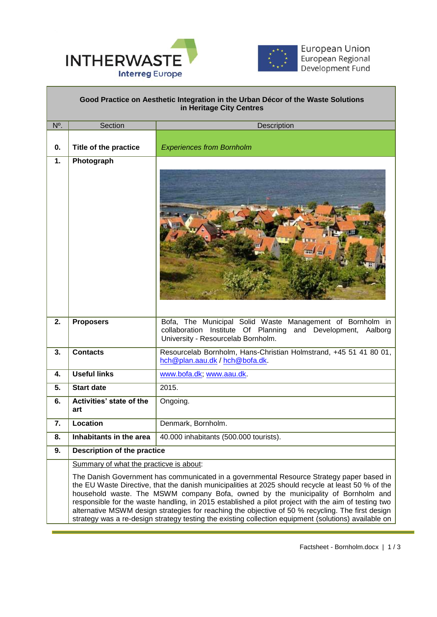



# **Good Practice on Aesthetic Integration in the Urban Décor of the Waste Solutions in Heritage City Centres**

 $\overline{a}$ 

| N <sup>o</sup> . | Section                                                                                                                                                                                                                                                                                                                                                                                                                                                                                                                                                                                                  | Description                                                                                                                                                     |
|------------------|----------------------------------------------------------------------------------------------------------------------------------------------------------------------------------------------------------------------------------------------------------------------------------------------------------------------------------------------------------------------------------------------------------------------------------------------------------------------------------------------------------------------------------------------------------------------------------------------------------|-----------------------------------------------------------------------------------------------------------------------------------------------------------------|
|                  |                                                                                                                                                                                                                                                                                                                                                                                                                                                                                                                                                                                                          |                                                                                                                                                                 |
| 0.               | Title of the practice                                                                                                                                                                                                                                                                                                                                                                                                                                                                                                                                                                                    | <b>Experiences from Bornholm</b>                                                                                                                                |
| 1.               | Photograph                                                                                                                                                                                                                                                                                                                                                                                                                                                                                                                                                                                               |                                                                                                                                                                 |
|                  |                                                                                                                                                                                                                                                                                                                                                                                                                                                                                                                                                                                                          |                                                                                                                                                                 |
| 2.               | <b>Proposers</b>                                                                                                                                                                                                                                                                                                                                                                                                                                                                                                                                                                                         | Bofa, The Municipal Solid Waste Management of Bornholm in<br>collaboration Institute Of Planning and Development, Aalborg<br>University - Resourcelab Bornholm. |
| 3.               | <b>Contacts</b>                                                                                                                                                                                                                                                                                                                                                                                                                                                                                                                                                                                          | Resourcelab Bornholm, Hans-Christian Holmstrand, +45 51 41 80 01,<br>hch@plan.aau.dk / hch@bofa.dk.                                                             |
| 4.               | <b>Useful links</b>                                                                                                                                                                                                                                                                                                                                                                                                                                                                                                                                                                                      | www.bofa.dk, www.aau.dk                                                                                                                                         |
| 5.               | <b>Start date</b>                                                                                                                                                                                                                                                                                                                                                                                                                                                                                                                                                                                        | 2015.                                                                                                                                                           |
| 6.               | Activities' state of the<br>art                                                                                                                                                                                                                                                                                                                                                                                                                                                                                                                                                                          | Ongoing.                                                                                                                                                        |
| 7.               | Location                                                                                                                                                                                                                                                                                                                                                                                                                                                                                                                                                                                                 | Denmark, Bornholm.                                                                                                                                              |
| 8.               | Inhabitants in the area                                                                                                                                                                                                                                                                                                                                                                                                                                                                                                                                                                                  | 40.000 inhabitants (500.000 tourists).                                                                                                                          |
| 9.               | <b>Description of the practice</b>                                                                                                                                                                                                                                                                                                                                                                                                                                                                                                                                                                       |                                                                                                                                                                 |
|                  | Summary of what the practicve is about:                                                                                                                                                                                                                                                                                                                                                                                                                                                                                                                                                                  |                                                                                                                                                                 |
|                  | The Danish Government has communicated in a governmental Resource Strategy paper based in<br>the EU Waste Directive, that the danish municipalities at 2025 should recycle at least 50 % of the<br>household waste. The MSWM company Bofa, owned by the municipality of Bornholm and<br>responsible for the waste handling, in 2015 established a pilot project with the aim of testing two<br>alternative MSWM design strategies for reaching the objective of 50 % recycling. The first design<br>strategy was a re-design strategy testing the existing collection equipment (solutions) available on |                                                                                                                                                                 |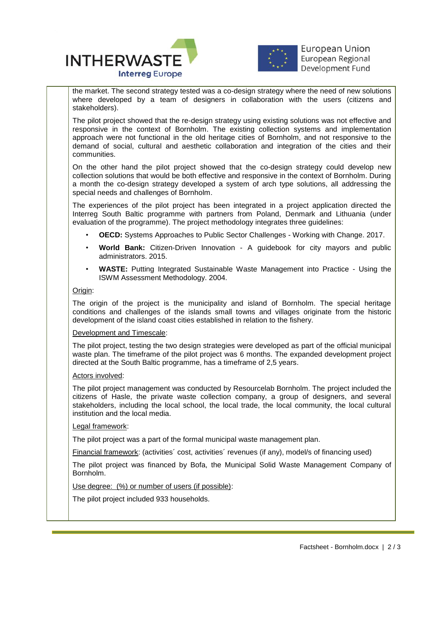



**European Union** European Regional Development Fund

 $\overline{a}$ the market. The second strategy tested was a co-design strategy where the need of new solutions where developed by a team of designers in collaboration with the users (citizens and stakeholders).

The pilot project showed that the re-design strategy using existing solutions was not effective and responsive in the context of Bornholm. The existing collection systems and implementation approach were not functional in the old heritage cities of Bornholm, and not responsive to the demand of social, cultural and aesthetic collaboration and integration of the cities and their communities.

On the other hand the pilot project showed that the co-design strategy could develop new collection solutions that would be both effective and responsive in the context of Bornholm. During a month the co-design strategy developed a system of arch type solutions, all addressing the special needs and challenges of Bornholm.

The experiences of the pilot project has been integrated in a project application directed the Interreg South Baltic programme with partners from Poland, Denmark and Lithuania (under evaluation of the programme). The project methodology integrates three guidelines:

- **OECD:** Systems Approaches to Public Sector Challenges Working with Change. 2017.
- **World Bank:** Citizen-Driven Innovation A guidebook for city mayors and public administrators. 2015.
- **WASTE:** Putting Integrated Sustainable Waste Management into Practice Using the ISWM Assessment Methodology. 2004.

## Origin:

The origin of the project is the municipality and island of Bornholm. The special heritage conditions and challenges of the islands small towns and villages originate from the historic development of the island coast cities established in relation to the fishery.

## Development and Timescale:

The pilot project, testing the two design strategies were developed as part of the official municipal waste plan. The timeframe of the pilot project was 6 months. The expanded development project directed at the South Baltic programme, has a timeframe of 2,5 years.

## Actors involved:

The pilot project management was conducted by Resourcelab Bornholm. The project included the citizens of Hasle, the private waste collection company, a group of designers, and several stakeholders, including the local school, the local trade, the local community, the local cultural institution and the local media.

## Legal framework:

The pilot project was a part of the formal municipal waste management plan.

Financial framework: (activities´ cost, activities´ revenues (if any), model/s of financing used)

The pilot project was financed by Bofa, the Municipal Solid Waste Management Company of Bornholm.

## Use degree: (%) or number of users (if possible):

The pilot project included 933 households.